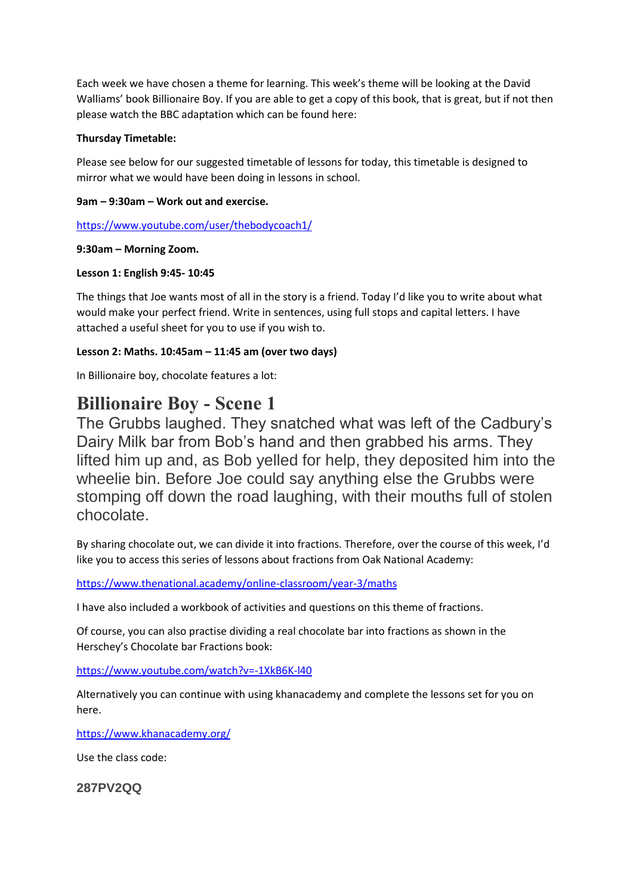Each week we have chosen a theme for learning. This week's theme will be looking at the David Walliams' book Billionaire Boy. If you are able to get a copy of this book, that is great, but if not then please watch the BBC adaptation which can be found here:

# **Thursday Timetable:**

Please see below for our suggested timetable of lessons for today, this timetable is designed to mirror what we would have been doing in lessons in school.

## **9am – 9:30am – Work out and exercise.**

<https://www.youtube.com/user/thebodycoach1/>

## **9:30am – Morning Zoom.**

## **Lesson 1: English 9:45- 10:45**

The things that Joe wants most of all in the story is a friend. Today I'd like you to write about what would make your perfect friend. Write in sentences, using full stops and capital letters. I have attached a useful sheet for you to use if you wish to.

# **Lesson 2: Maths. 10:45am – 11:45 am (over two days)**

In Billionaire boy, chocolate features a lot:

# **Billionaire Boy - Scene 1**

The Grubbs laughed. They snatched what was left of the Cadbury's Dairy Milk bar from Bob's hand and then grabbed his arms. They lifted him up and, as Bob yelled for help, they deposited him into the wheelie bin. Before Joe could say anything else the Grubbs were stomping off down the road laughing, with their mouths full of stolen chocolate.

By sharing chocolate out, we can divide it into fractions. Therefore, over the course of this week, I'd like you to access this series of lessons about fractions from Oak National Academy:

<https://www.thenational.academy/online-classroom/year-3/maths>

I have also included a workbook of activities and questions on this theme of fractions.

Of course, you can also practise dividing a real chocolate bar into fractions as shown in the Herschey's Chocolate bar Fractions book:

<https://www.youtube.com/watch?v=-1XkB6K-l40>

Alternatively you can continue with using khanacademy and complete the lessons set for you on here.

<https://www.khanacademy.org/>

Use the class code:

**287PV2QQ**